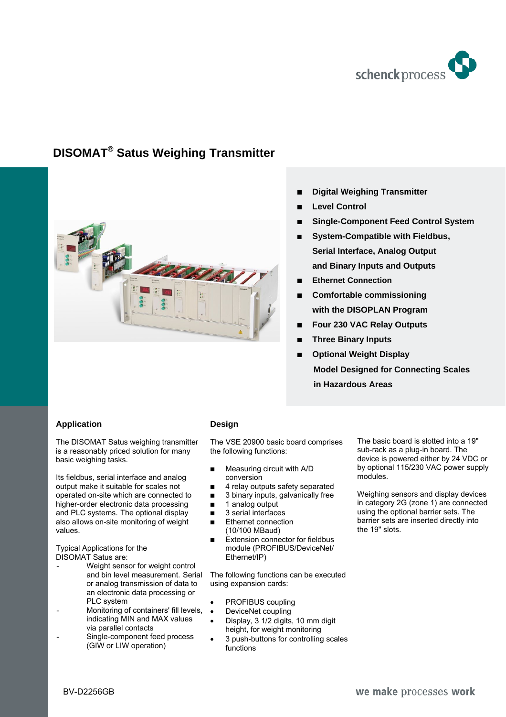

# **DISOMAT® Satus Weighing Transmitter**



- % **Digital Weighing Transmitter**
- **Level Control**
- % **Single-Component Feed Control System**
- % **System-Compatible with Fieldbus, Serial Interface, Analog Output and Binary Inputs and Outputs**
- **Ethernet Connection**
- **Comfortable commissioning with the DISOPLAN Program**
- % **Four 230 VAC Relay Outputs**
- % **Three Binary Inputs**
- **Optional Weight Display Model Designed for Connecting Scales in Hazardous Areas**

## **Application**

The DISOMAT Satus weighing transmitter is a reasonably priced solution for many basic weighing tasks.

Its fieldbus, serial interface and analog output make it suitable for scales not operated on-site which are connected to higher-order electronic data processing and PLC systems. The optional display also allows on-site monitoring of weight values.

Typical Applications for the DISOMAT Satus are:

- Weight sensor for weight control and bin level measurement. Serial or analog transmission of data to an electronic data processing or PLC system
- Monitoring of containers' fill levels, indicating MIN and MAX values via parallel contacts
- Single-component feed process (GIW or LIW operation)

## **Design**

The VSE 20900 basic board comprises the following functions:

- **Measuring circuit with A/D** conversion
- $\blacksquare$  4 relay outputs safety separated
- $\Box$  3 binary inputs, galvanically free
- $\blacksquare$  1 analog output
- $\blacksquare$  3 serial interfaces
- **Ethernet connection** (10/100 MBaud)
- $\blacksquare$  Extension connector for fieldbus module (PROFIBUS/DeviceNet/ Ethernet/IP)

The following functions can be executed using expansion cards:

- PROFIBUS coupling
- DeviceNet coupling
- Display, 3 1/2 digits, 10 mm digit height, for weight monitoring
- 3 push-buttons for controlling scales functions

The basic board is slotted into a 19" sub-rack as a plug-in board. The device is powered either by 24 VDC or by optional 115/230 VAC power supply modules.

Weighing sensors and display devices in category 2G (zone 1) are connected using the optional barrier sets. The barrier sets are inserted directly into the 19" slots.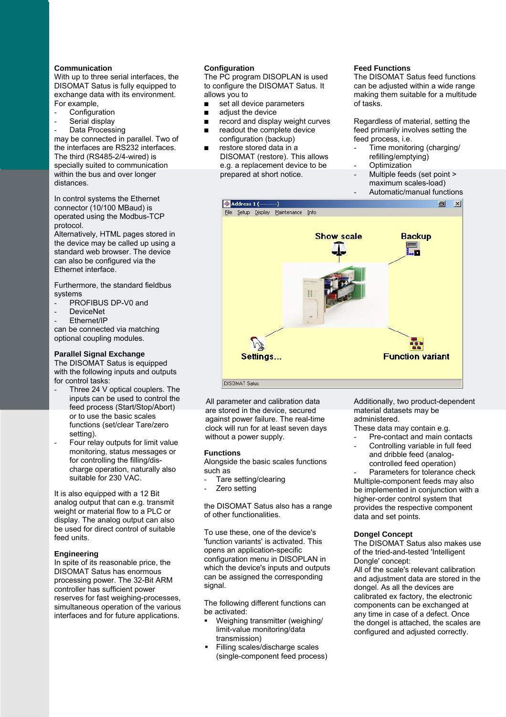### **Communication**

With up to three serial interfaces, the DISOMAT Satus is fully equipped to exchange data with its environment. For example,

- **Configuration**
- Serial display
- Data Processing

may be connected in parallel. Two of the interfaces are RS232 interfaces. The third (RS485-2/4-wired) is specially suited to communication within the bus and over longer distances.

In control systems the Ethernet connector (10/100 MBaud) is operated using the Modbus-TCP protocol.

Alternatively, HTML pages stored in the device may be called up using a standard web browser. The device can also be configured via the Ethernet interface.

Furthermore, the standard fieldbus systems

- PROFIBUS DP-V0 and
- DeviceNet
- Fthernet/IP

can be connected via matching optional coupling modules.

#### **Parallel Signal Exchange**

The DISOMAT Satus is equipped with the following inputs and outputs for control tasks:

- Three 24 V optical couplers. The inputs can be used to control the feed process (Start/Stop/Abort) or to use the basic scales functions (set/clear Tare/zero setting).
- Four relay outputs for limit value monitoring, status messages or for controlling the filling/discharge operation, naturally also suitable for 230 VAC.

It is also equipped with a 12 Bit analog output that can e.g. transmit weight or material flow to a PLC or display. The analog output can also be used for direct control of suitable feed units.

#### **Engineering**

In spite of its reasonable price, the DISOMAT Satus has enormous processing power. The 32-Bit ARM controller has sufficient power reserves for fast weighing-processes, simultaneous operation of the various interfaces and for future applications.

#### **Configuration**

The PC program DISOPLAN is used to configure the DISOMAT Satus. It allows you to

- $\blacksquare$  set all device parameters
- adjust the device
- $\blacksquare$  record and display weight curves
- $\Box$  readout the complete device
- configuration (backup) restore stored data in a DISOMAT (restore). This allows e.g. a replacement device to be prepared at short notice.

#### **Feed Functions**

The DISOMAT Satus feed functions can be adjusted within a wide range making them suitable for a multitude of tasks.

Regardless of material, setting the feed primarily involves setting the feed process, i.e.

- Time monitoring (charging/ refilling/emptying) Optimization
- 
- Multiple feeds (set point >
- maximum scales-load) - Automatic/manual functions
- 



All parameter and calibration data are stored in the device, secured against power failure. The real-time clock will run for at least seven days without a power supply.

#### **Functions**

Alongside the basic scales functions such as

- Tare setting/clearing
- Zero setting

the DISOMAT Satus also has a range of other functionalities.

To use these, one of the device's 'function variants' is activated. This opens an application-specific configuration menu in DISOPLAN in which the device's inputs and outputs can be assigned the corresponding signal.

The following different functions can be activated:

- Weighing transmitter (weighing/ limit-value monitoring/data transmission)
- Filling scales/discharge scales (single-component feed process)

Additionally, two product-dependent material datasets may be administered.

These data may contain e.g.

- Pre-contact and main contacts
- Controlling variable in full feed and dribble feed (analogcontrolled feed operation)

Parameters for tolerance check Multiple-component feeds may also be implemented in conjunction with a higher-order control system that provides the respective component data and set points.

#### **Dongel Concept**

The DISOMAT Satus also makes use of the tried-and-tested 'Intelligent Dongle' concept:

All of the scale's relevant calibration and adjustment data are stored in the dongel. As all the devices are calibrated ex factory, the electronic components can be exchanged at any time in case of a defect. Once the dongel is attached, the scales are configured and adjusted correctly.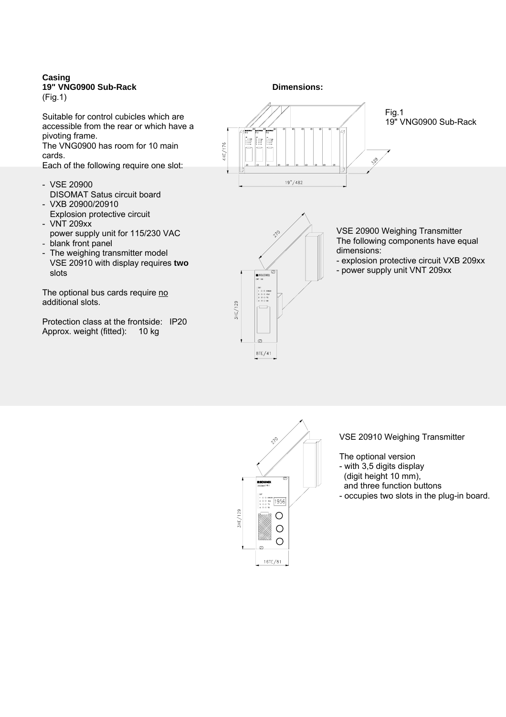## **Casing 19" VNG0900 Sub-Rack**

(Fig.1)

Suitable for control cubicles which are accessible from the rear or which have a pivoting frame.

The VNG0900 has room for 10 main cards.

Each of the following require one slot:

- VSE 20900 DISOMAT Satus circuit board
- VXB 20900/20910 Explosion protective circuit - VNT 209xx
- power supply unit for 115/230 VAC - blank front panel
- 
- The weighing transmitter model VSE 20910 with display requires **two**  slots

The optional bus cards require no additional slots.

Protection class at the frontside: IP20 Approx. weight (fitted): 10 kg

**Dimensions:** 





VSE 20900 Weighing Transmitter The following components have equal dimensions:

- explosion protective circuit VXB 209xx
- power supply unit VNT 209xx



VSE 20910 Weighing Transmitter

The optional version

- with 3,5 digits display (digit height 10 mm),
- and three function buttons
- occupies two slots in the plug-in board.